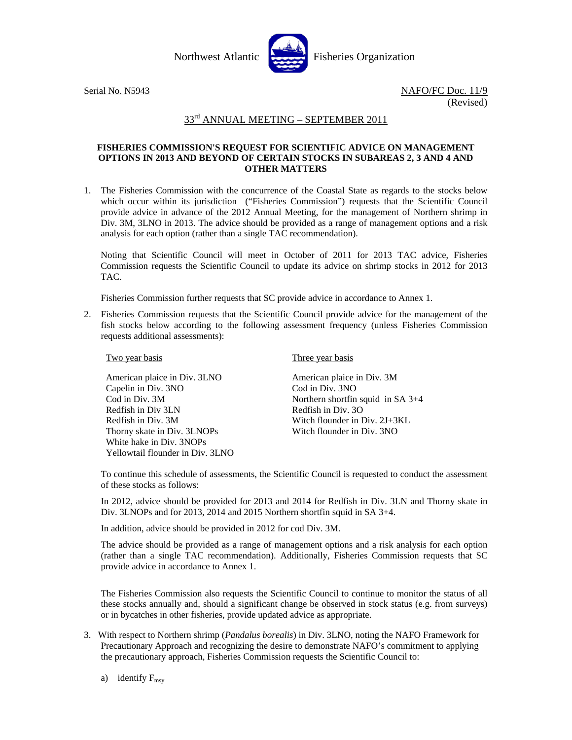



## 33<sup>rd</sup> ANNUAL MEETING - SEPTEMBER 2011

## **FISHERIES COMMISSION'S REQUEST FOR SCIENTIFIC ADVICE ON MANAGEMENT OPTIONS IN 2013 AND BEYOND OF CERTAIN STOCKS IN SUBAREAS 2, 3 AND 4 AND OTHER MATTERS**

1. The Fisheries Commission with the concurrence of the Coastal State as regards to the stocks below which occur within its jurisdiction ("Fisheries Commission") requests that the Scientific Council provide advice in advance of the 2012 Annual Meeting, for the management of Northern shrimp in Div. 3M, 3LNO in 2013. The advice should be provided as a range of management options and a risk analysis for each option (rather than a single TAC recommendation).

Noting that Scientific Council will meet in October of 2011 for 2013 TAC advice, Fisheries Commission requests the Scientific Council to update its advice on shrimp stocks in 2012 for 2013 TAC.

Fisheries Commission further requests that SC provide advice in accordance to Annex 1.

2. Fisheries Commission requests that the Scientific Council provide advice for the management of the fish stocks below according to the following assessment frequency (unless Fisheries Commission requests additional assessments):

## Two year basis

American plaice in Div. 3LNO Capelin in Div. 3NO Cod in Div. 3M Redfish in Div 3LN Redfish in Div. 3M Thorny skate in Div. 3LNOPs White hake in Div. 3NOPs Yellowtail flounder in Div. 3LNO Three year basis

American plaice in Div. 3M Cod in Div. 3NO Northern shortfin squid in SA 3+4 Redfish in Div. 3O Witch flounder in Div. 2J+3KL Witch flounder in Div. 3NO

To continue this schedule of assessments, the Scientific Council is requested to conduct the assessment of these stocks as follows:

In 2012, advice should be provided for 2013 and 2014 for Redfish in Div. 3LN and Thorny skate in Div. 3LNOPs and for 2013, 2014 and 2015 Northern shortfin squid in SA 3+4.

In addition, advice should be provided in 2012 for cod Div. 3M.

The advice should be provided as a range of management options and a risk analysis for each option (rather than a single TAC recommendation). Additionally, Fisheries Commission requests that SC provide advice in accordance to Annex 1.

The Fisheries Commission also requests the Scientific Council to continue to monitor the status of all these stocks annually and, should a significant change be observed in stock status (e.g. from surveys) or in bycatches in other fisheries, provide updated advice as appropriate.

- 3. With respect to Northern shrimp (*Pandalus borealis*) in Div. 3LNO, noting the NAFO Framework for Precautionary Approach and recognizing the desire to demonstrate NAFO's commitment to applying the precautionary approach, Fisheries Commission requests the Scientific Council to:
	- a) identify  $F_{\text{msv}}$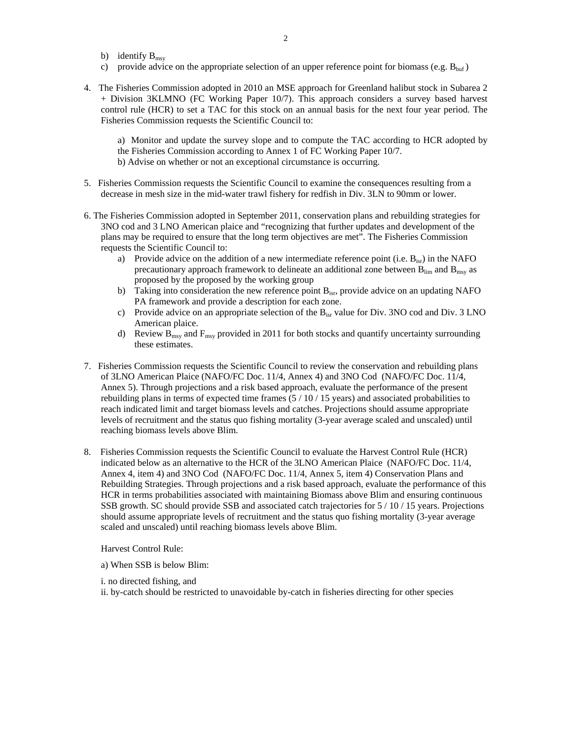- b) identify  $B_{\text{msv}}$
- c) provide advice on the appropriate selection of an upper reference point for biomass (e.g.  $B_{\text{buf}}$ )
- 4. The Fisheries Commission adopted in 2010 an MSE approach for Greenland halibut stock in Subarea 2 + Division 3KLMNO (FC Working Paper 10/7). This approach considers a survey based harvest control rule (HCR) to set a TAC for this stock on an annual basis for the next four year period. The Fisheries Commission requests the Scientific Council to:

a) Monitor and update the survey slope and to compute the TAC according to HCR adopted by the Fisheries Commission according to Annex 1 of FC Working Paper 10/7. b) Advise on whether or not an exceptional circumstance is occurring.

- 5. Fisheries Commission requests the Scientific Council to examine the consequences resulting from a decrease in mesh size in the mid-water trawl fishery for redfish in Div. 3LN to 90mm or lower.
- 6. The Fisheries Commission adopted in September 2011, conservation plans and rebuilding strategies for 3NO cod and 3 LNO American plaice and "recognizing that further updates and development of the plans may be required to ensure that the long term objectives are met". The Fisheries Commission requests the Scientific Council to:
	- a) Provide advice on the addition of a new intermediate reference point (i.e.  $B_{isr}$ ) in the NAFO precautionary approach framework to delineate an additional zone between  $B_{lim}$  and  $B_{max}$  as proposed by the proposed by the working group
	- b) Taking into consideration the new reference point  $B_{isr}$ , provide advice on an updating NAFO PA framework and provide a description for each zone.
	- c) Provide advice on an appropriate selection of the Bisr value for Div. 3NO cod and Div. 3 LNO American plaice.
	- d) Review  $B_{\text{msy}}$  and  $F_{\text{msy}}$  provided in 2011 for both stocks and quantify uncertainty surrounding these estimates.
- 7. Fisheries Commission requests the Scientific Council to review the conservation and rebuilding plans of 3LNO American Plaice (NAFO/FC Doc. 11/4, Annex 4) and 3NO Cod (NAFO/FC Doc. 11/4, Annex 5). Through projections and a risk based approach, evaluate the performance of the present rebuilding plans in terms of expected time frames  $(5/10/15 \text{ years})$  and associated probabilities to reach indicated limit and target biomass levels and catches. Projections should assume appropriate levels of recruitment and the status quo fishing mortality (3-year average scaled and unscaled) until reaching biomass levels above Blim.
- 8. Fisheries Commission requests the Scientific Council to evaluate the Harvest Control Rule (HCR) indicated below as an alternative to the HCR of the 3LNO American Plaice (NAFO/FC Doc. 11/4, Annex 4, item 4) and 3NO Cod (NAFO/FC Doc. 11/4, Annex 5, item 4) Conservation Plans and Rebuilding Strategies. Through projections and a risk based approach, evaluate the performance of this HCR in terms probabilities associated with maintaining Biomass above Blim and ensuring continuous SSB growth. SC should provide SSB and associated catch trajectories for 5 / 10 / 15 years. Projections should assume appropriate levels of recruitment and the status quo fishing mortality (3-year average scaled and unscaled) until reaching biomass levels above Blim.

Harvest Control Rule:

a) When SSB is below Blim:

i. no directed fishing, and

ii. by-catch should be restricted to unavoidable by-catch in fisheries directing for other species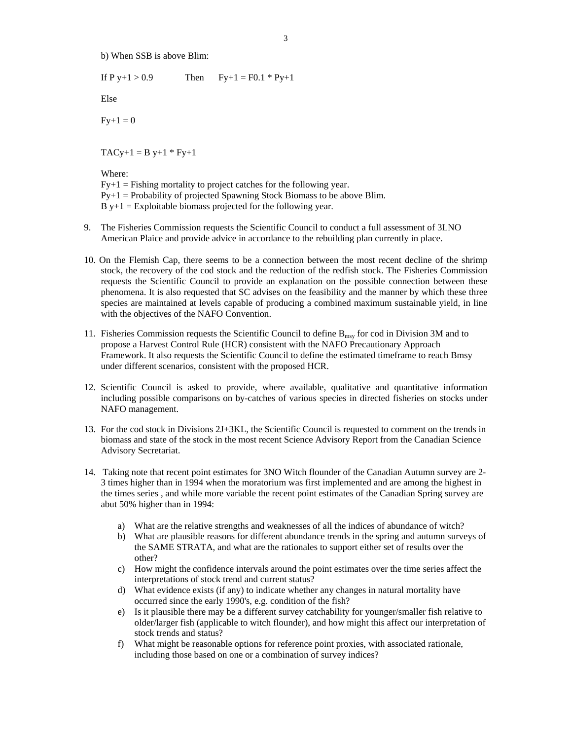b) When SSB is above Blim:

If P y+1 > 0.9 Then  $Fy+1 = F0.1 * Py+1$ 

Else

 $Fy+1=0$ 

 $TACy+1 = B y+1 * Fy+1$ 

Where:

 $Fy+1 = Fishing$  mortality to project catches for the following year.  $Py+1 = Probability$  of projected Spawning Stock Biomass to be above Blim.  $B y+1 =$  Exploitable biomass projected for the following year.

- 9. The Fisheries Commission requests the Scientific Council to conduct a full assessment of 3LNO American Plaice and provide advice in accordance to the rebuilding plan currently in place.
- 10. On the Flemish Cap, there seems to be a connection between the most recent decline of the shrimp stock, the recovery of the cod stock and the reduction of the redfish stock. The Fisheries Commission requests the Scientific Council to provide an explanation on the possible connection between these phenomena. It is also requested that SC advises on the feasibility and the manner by which these three species are maintained at levels capable of producing a combined maximum sustainable yield, in line with the objectives of the NAFO Convention.
- 11. Fisheries Commission requests the Scientific Council to define  $B_{\text{msy}}$  for cod in Division 3M and to propose a Harvest Control Rule (HCR) consistent with the NAFO Precautionary Approach Framework. It also requests the Scientific Council to define the estimated timeframe to reach Bmsy under different scenarios, consistent with the proposed HCR.
- 12. Scientific Council is asked to provide, where available, qualitative and quantitative information including possible comparisons on by-catches of various species in directed fisheries on stocks under NAFO management.
- 13. For the cod stock in Divisions 2J+3KL, the Scientific Council is requested to comment on the trends in biomass and state of the stock in the most recent Science Advisory Report from the Canadian Science Advisory Secretariat.
- 14. Taking note that recent point estimates for 3NO Witch flounder of the Canadian Autumn survey are 2- 3 times higher than in 1994 when the moratorium was first implemented and are among the highest in the times series , and while more variable the recent point estimates of the Canadian Spring survey are abut 50% higher than in 1994:
	- a) What are the relative strengths and weaknesses of all the indices of abundance of witch?
	- b) What are plausible reasons for different abundance trends in the spring and autumn surveys of the SAME STRATA, and what are the rationales to support either set of results over the other?
	- c) How might the confidence intervals around the point estimates over the time series affect the interpretations of stock trend and current status?
	- d) What evidence exists (if any) to indicate whether any changes in natural mortality have occurred since the early 1990's, e.g. condition of the fish?
	- e) Is it plausible there may be a different survey catchability for younger/smaller fish relative to older/larger fish (applicable to witch flounder), and how might this affect our interpretation of stock trends and status?
	- f) What might be reasonable options for reference point proxies, with associated rationale, including those based on one or a combination of survey indices?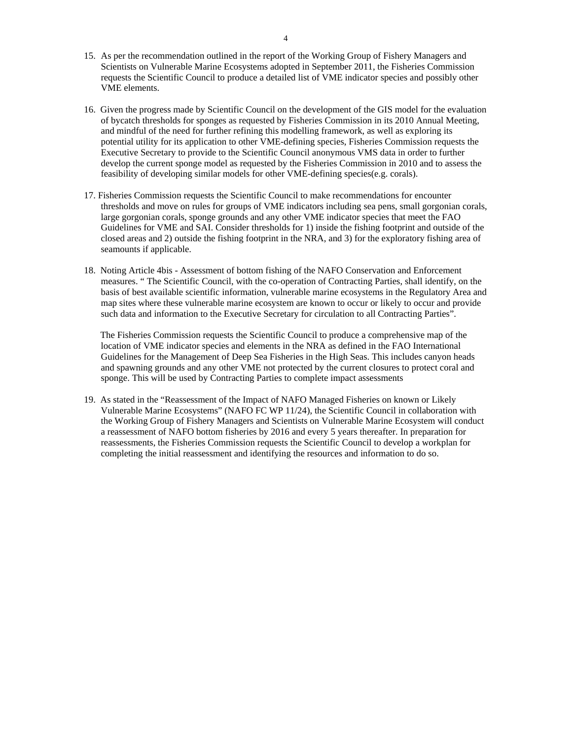- 15. As per the recommendation outlined in the report of the Working Group of Fishery Managers and Scientists on Vulnerable Marine Ecosystems adopted in September 2011, the Fisheries Commission requests the Scientific Council to produce a detailed list of VME indicator species and possibly other VME elements.
- 16. Given the progress made by Scientific Council on the development of the GIS model for the evaluation of bycatch thresholds for sponges as requested by Fisheries Commission in its 2010 Annual Meeting, and mindful of the need for further refining this modelling framework, as well as exploring its potential utility for its application to other VME-defining species, Fisheries Commission requests the Executive Secretary to provide to the Scientific Council anonymous VMS data in order to further develop the current sponge model as requested by the Fisheries Commission in 2010 and to assess the feasibility of developing similar models for other VME-defining species(e.g. corals).
- 17. Fisheries Commission requests the Scientific Council to make recommendations for encounter thresholds and move on rules for groups of VME indicators including sea pens, small gorgonian corals, large gorgonian corals, sponge grounds and any other VME indicator species that meet the FAO Guidelines for VME and SAI. Consider thresholds for 1) inside the fishing footprint and outside of the closed areas and 2) outside the fishing footprint in the NRA, and 3) for the exploratory fishing area of seamounts if applicable.
- 18. Noting Article 4bis Assessment of bottom fishing of the NAFO Conservation and Enforcement measures. " The Scientific Council, with the co-operation of Contracting Parties, shall identify, on the basis of best available scientific information, vulnerable marine ecosystems in the Regulatory Area and map sites where these vulnerable marine ecosystem are known to occur or likely to occur and provide such data and information to the Executive Secretary for circulation to all Contracting Parties".

 The Fisheries Commission requests the Scientific Council to produce a comprehensive map of the location of VME indicator species and elements in the NRA as defined in the FAO International Guidelines for the Management of Deep Sea Fisheries in the High Seas. This includes canyon heads and spawning grounds and any other VME not protected by the current closures to protect coral and sponge. This will be used by Contracting Parties to complete impact assessments

19. As stated in the "Reassessment of the Impact of NAFO Managed Fisheries on known or Likely Vulnerable Marine Ecosystems" (NAFO FC WP 11/24), the Scientific Council in collaboration with the Working Group of Fishery Managers and Scientists on Vulnerable Marine Ecosystem will conduct a reassessment of NAFO bottom fisheries by 2016 and every 5 years thereafter. In preparation for reassessments, the Fisheries Commission requests the Scientific Council to develop a workplan for completing the initial reassessment and identifying the resources and information to do so.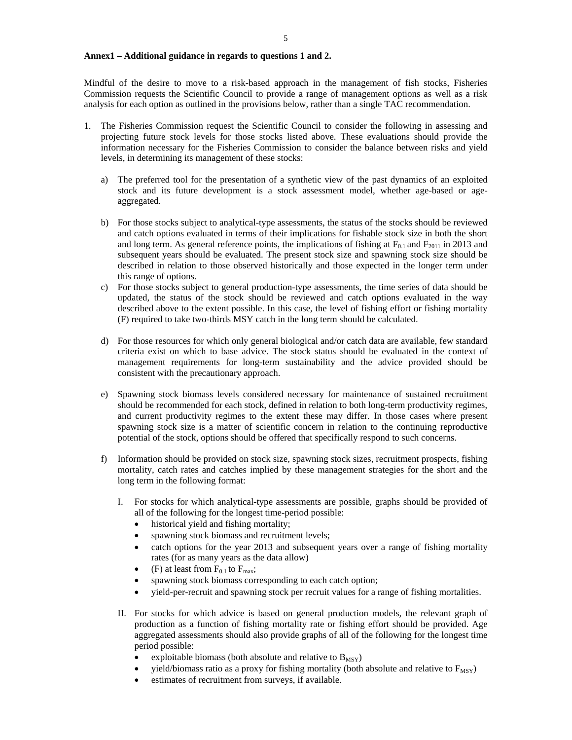## **Annex1 – Additional guidance in regards to questions 1 and 2.**

Mindful of the desire to move to a risk-based approach in the management of fish stocks, Fisheries Commission requests the Scientific Council to provide a range of management options as well as a risk analysis for each option as outlined in the provisions below, rather than a single TAC recommendation.

- 1. The Fisheries Commission request the Scientific Council to consider the following in assessing and projecting future stock levels for those stocks listed above. These evaluations should provide the information necessary for the Fisheries Commission to consider the balance between risks and yield levels, in determining its management of these stocks:
	- a) The preferred tool for the presentation of a synthetic view of the past dynamics of an exploited stock and its future development is a stock assessment model, whether age-based or ageaggregated.
	- b) For those stocks subject to analytical-type assessments, the status of the stocks should be reviewed and catch options evaluated in terms of their implications for fishable stock size in both the short and long term. As general reference points, the implications of fishing at  $F_{0.1}$  and  $F_{2011}$  in 2013 and subsequent years should be evaluated. The present stock size and spawning stock size should be described in relation to those observed historically and those expected in the longer term under this range of options.
	- c) For those stocks subject to general production-type assessments, the time series of data should be updated, the status of the stock should be reviewed and catch options evaluated in the way described above to the extent possible. In this case, the level of fishing effort or fishing mortality (F) required to take two-thirds MSY catch in the long term should be calculated.
	- d) For those resources for which only general biological and/or catch data are available, few standard criteria exist on which to base advice. The stock status should be evaluated in the context of management requirements for long-term sustainability and the advice provided should be consistent with the precautionary approach.
	- e) Spawning stock biomass levels considered necessary for maintenance of sustained recruitment should be recommended for each stock, defined in relation to both long-term productivity regimes, and current productivity regimes to the extent these may differ. In those cases where present spawning stock size is a matter of scientific concern in relation to the continuing reproductive potential of the stock, options should be offered that specifically respond to such concerns.
	- f) Information should be provided on stock size, spawning stock sizes, recruitment prospects, fishing mortality, catch rates and catches implied by these management strategies for the short and the long term in the following format:
		- I. For stocks for which analytical-type assessments are possible, graphs should be provided of all of the following for the longest time-period possible:
			- historical yield and fishing mortality;
			- spawning stock biomass and recruitment levels;
			- catch options for the year 2013 and subsequent years over a range of fishing mortality rates (for as many years as the data allow)
			- (F) at least from  $F_{0.1}$  to  $F_{\text{max}}$ ;
			- spawning stock biomass corresponding to each catch option;
			- yield-per-recruit and spawning stock per recruit values for a range of fishing mortalities.
		- II. For stocks for which advice is based on general production models, the relevant graph of production as a function of fishing mortality rate or fishing effort should be provided. Age aggregated assessments should also provide graphs of all of the following for the longest time period possible:
			- exploitable biomass (both absolute and relative to  $B_{MSY}$ )
			- yield/biomass ratio as a proxy for fishing mortality (both absolute and relative to  $F_{MSY}$ )
			- estimates of recruitment from surveys, if available.